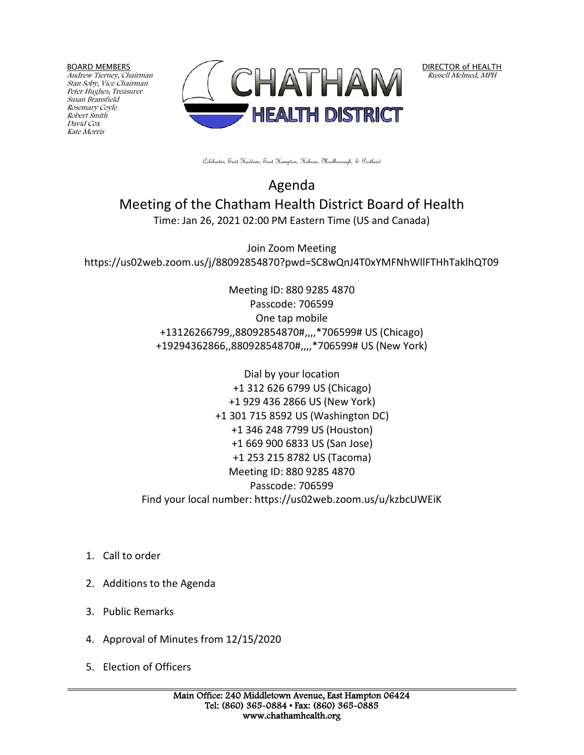BOARD MEMBERS

Andrew Tierney, Chairman Stan Soby, Vice Chairman Peter Hughes, Treasurer Susan Bransfield Rosemary Coyle Robert Smith David Cox Kate Morris



DIRECTOR of HEALTH Russell Melmed, MPH

Colchester, East Haddam, East Hampton, Hebron, Marlborough, & Portland

Agenda Meeting of the Chatham Health District Board of Health Time: Jan 26, 2021 02:00 PM Eastern Time (US and Canada)

Join Zoom Meeting https://us02web.zoom.us/j/88092854870?pwd=SC8wQnJ4T0xYMFNhWllFTHhTaklhQT09

> Meeting ID: 880 9285 4870 Passcode: 706599 One tap mobile +13126266799,,88092854870#,,,,\*706599# US (Chicago) +19294362866,,88092854870#,,,,\*706599# US (New York)

Dial by your location +1 312 626 6799 US (Chicago) +1 929 436 2866 US (New York) +1 301 715 8592 US (Washington DC) +1 346 248 7799 US (Houston) +1 669 900 6833 US (San Jose) +1 253 215 8782 US (Tacoma) Meeting ID: 880 9285 4870 Passcode: 706599 Find your local number: https://us02web.zoom.us/u/kzbcUWEiK

- 1. Call to order
- 2. Additions to the Agenda
- 3. Public Remarks
- 4. Approval of Minutes from 12/15/2020
- 5. Election of Officers